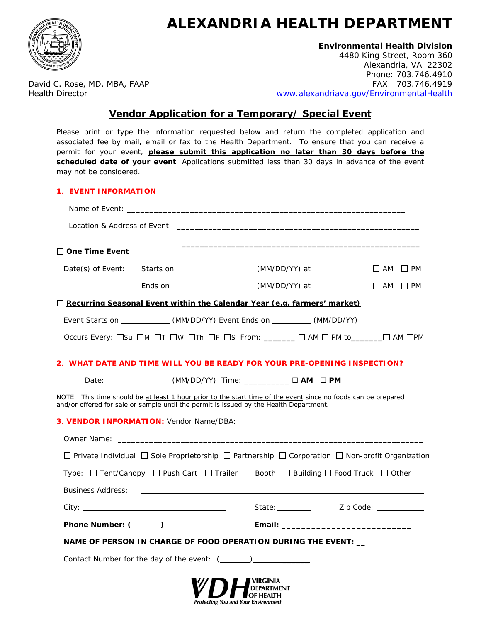

# **ALEXANDRIA HEALTH DEPARTMENT**

# **Environmental Health Division**

4480 King Street, Room 360 Alexandria, VA 22302 Phone: 703.746.4910 David C. Rose, MD, MBA, FAAP FAX: 703.746.4919 Health Director [www.alexandriava.gov/EnvironmentalHealth](http://www.alexandriava.gov/EnvironmentalHealth)

# **Vendor Application for a Temporary/ Special Event**

| may not be considered.      | Please print or type the information requested below and return the completed application and<br>associated fee by mail, email or fax to the Health Department. To ensure that you can receive a<br>permit for your event, please submit this application no later than 30 days before the<br>scheduled date of your event. Applications submitted less than 30 days in advance of the event |  |
|-----------------------------|----------------------------------------------------------------------------------------------------------------------------------------------------------------------------------------------------------------------------------------------------------------------------------------------------------------------------------------------------------------------------------------------|--|
| <b>1. EVENT INFORMATION</b> |                                                                                                                                                                                                                                                                                                                                                                                              |  |
|                             |                                                                                                                                                                                                                                                                                                                                                                                              |  |
|                             |                                                                                                                                                                                                                                                                                                                                                                                              |  |
| One Time Event              |                                                                                                                                                                                                                                                                                                                                                                                              |  |
|                             |                                                                                                                                                                                                                                                                                                                                                                                              |  |
|                             |                                                                                                                                                                                                                                                                                                                                                                                              |  |
|                             | Recurring Seasonal Event within the Calendar Year (e.g. farmers' market)                                                                                                                                                                                                                                                                                                                     |  |
|                             | Event Starts on ______________(MM/DD/YY) Event Ends on __________(MM/DD/YY)                                                                                                                                                                                                                                                                                                                  |  |
|                             | Occurs Every: $\square$ Su $\square$ M $\square$ T $\square$ W $\square$ Th $\square$ F $\square$ S From: $\square$ $\square$ AM $\square$ PM to $\square$ $\square$ AM $\square$ PM                                                                                                                                                                                                         |  |
|                             | 2. WHAT DATE AND TIME WILL YOU BE READY FOR YOUR PRE-OPENING INSPECTION?                                                                                                                                                                                                                                                                                                                     |  |
|                             | Date: __________________ (MM/DD/YY) Time: ____________ □ AM □ PM                                                                                                                                                                                                                                                                                                                             |  |
|                             | NOTE: This time should be at least 1 hour prior to the start time of the event since no foods can be prepared<br>and/or offered for sale or sample until the permit is issued by the Health Department.                                                                                                                                                                                      |  |
|                             | 3. VENDOR INFORMATION: Vendor Name/DBA: Laterature and Alexander Annual Control of Alexander Annual Control of                                                                                                                                                                                                                                                                               |  |
|                             |                                                                                                                                                                                                                                                                                                                                                                                              |  |
|                             | $\Box$ Private Individual $\Box$ Sole Proprietorship $\Box$ Partnership $\Box$ Corporation $\Box$ Non-profit Organization                                                                                                                                                                                                                                                                    |  |
|                             | Type: $\Box$ Tent/Canopy $\Box$ Push Cart $\Box$ Trailer $\Box$ Booth $\Box$ Building $\Box$ Food Truck $\Box$ Other                                                                                                                                                                                                                                                                         |  |
|                             |                                                                                                                                                                                                                                                                                                                                                                                              |  |
|                             |                                                                                                                                                                                                                                                                                                                                                                                              |  |
|                             |                                                                                                                                                                                                                                                                                                                                                                                              |  |
|                             | NAME OF PERSON IN CHARGE OF FOOD OPERATION DURING THE EVENT: ___________________                                                                                                                                                                                                                                                                                                             |  |
|                             |                                                                                                                                                                                                                                                                                                                                                                                              |  |
|                             |                                                                                                                                                                                                                                                                                                                                                                                              |  |

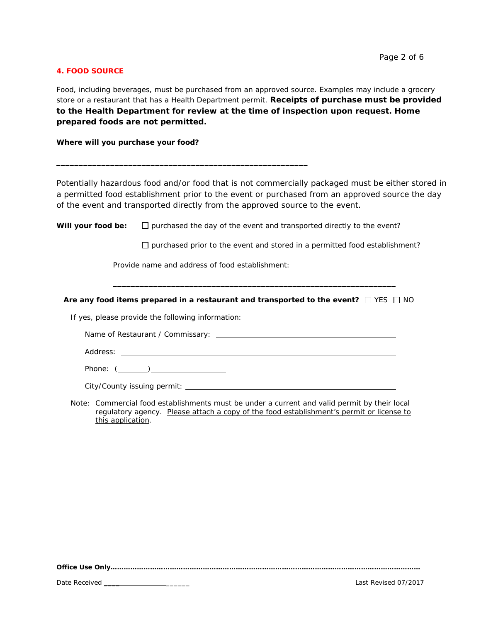### **4. FOOD SOURCE**

Food, including beverages, must be purchased from an approved source. Examples may include a grocery store or a restaurant that has a Health Department permit. **Receipts of purchase must be provided to the Health Department for review at the time of inspection upon request. Home prepared foods are not permitted.** 

**Where will you purchase your food?**

Potentially hazardous food and/or food that is not commercially packaged must be either stored in a permitted food establishment prior to the event or purchased from an approved source the day of the event and transported directly from the approved source to the event.

**Will your food be:**  $\Box$  purchased the day of the event and transported directly to the event?

 $\square$  purchased prior to the event and stored in a permitted food establishment?

Provide name and address of food establishment:

 $\frac{1}{2}$  ,  $\frac{1}{2}$  ,  $\frac{1}{2}$  ,  $\frac{1}{2}$  ,  $\frac{1}{2}$  ,  $\frac{1}{2}$  ,  $\frac{1}{2}$  ,  $\frac{1}{2}$  ,  $\frac{1}{2}$  ,  $\frac{1}{2}$  ,  $\frac{1}{2}$  ,  $\frac{1}{2}$  ,  $\frac{1}{2}$  ,  $\frac{1}{2}$  ,  $\frac{1}{2}$  ,  $\frac{1}{2}$  ,  $\frac{1}{2}$  ,  $\frac{1}{2}$  ,  $\frac{1$ 

**Are any food items prepared in a restaurant and transported to the event?**  $\Box$  YES  $\Box$  NO

\_\_\_\_\_\_\_\_\_\_\_\_\_\_\_\_\_\_\_\_\_\_\_\_\_\_\_\_\_\_\_\_\_\_\_\_\_\_\_\_\_\_\_\_\_\_\_\_\_\_\_\_\_\_\_\_\_\_\_\_\_\_\_

If yes, please provide the following information:

Name of Restaurant / Commissary:

Address: **Address: Address: Address: Address: Address: Address: Address: Address: Address: Address: Address: Address: Address: Address: Address: Address: Address: Address: Address: Add** 

Phone: ( )

City/County issuing permit:

*Note: Commercial food establishments must be under a current and valid permit by their local regulatory agency. Please attach a copy of the food establishment's permit or license to this application.* 

*Office Use Only……………………………………………………………………………………………………………………………*

Date Received \_\_\_\_ \_\_\_\_\_\_ Last Revised 07/2017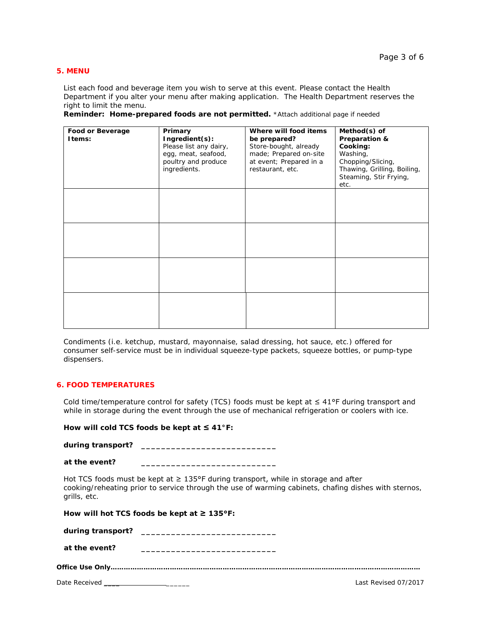#### **5. MENU**

List each food and beverage item you wish to serve at this event. Please contact the Health Department if you alter your menu after making application. The Health Department reserves the right to limit the menu.

|  |  |  |  |  | Reminder: Home-prepared foods are not permitted. *Attach additional page if needed |  |  |
|--|--|--|--|--|------------------------------------------------------------------------------------|--|--|
|--|--|--|--|--|------------------------------------------------------------------------------------|--|--|

| Food or Beverage<br>Items: | Primary<br>Ingredient(s):<br>Please list any dairy,<br>egg, meat, seafood,<br>poultry and produce<br>ingredients. | Where will food items<br>be prepared?<br>Store-bought, already<br>made; Prepared on-site<br>at event; Prepared in a<br>restaurant, etc. | Method(s) of<br>Preparation &<br>Cooking:<br>Washing,<br>Chopping/Slicing,<br>Thawing, Grilling, Boiling,<br>Steaming, Stir Frying,<br>etc. |
|----------------------------|-------------------------------------------------------------------------------------------------------------------|-----------------------------------------------------------------------------------------------------------------------------------------|---------------------------------------------------------------------------------------------------------------------------------------------|
|                            |                                                                                                                   |                                                                                                                                         |                                                                                                                                             |
|                            |                                                                                                                   |                                                                                                                                         |                                                                                                                                             |
|                            |                                                                                                                   |                                                                                                                                         |                                                                                                                                             |
|                            |                                                                                                                   |                                                                                                                                         |                                                                                                                                             |

Condiments (i.e. ketchup, mustard, mayonnaise, salad dressing, hot sauce, etc.) offered for consumer self-service must be in individual squeeze-type packets, squeeze bottles, or pump-type dispensers.

# **6. FOOD TEMPERATURES**

Cold time/temperature control for safety (TCS) foods must be kept at ≤ 41°F during transport and while in storage during the event through the use of mechanical refrigeration or coolers with ice.

# **How will cold TCS foods be kept at ≤ 41°F:**

**during transport? \_\_\_\_\_\_\_\_\_\_\_\_\_\_\_\_\_\_\_\_\_\_\_\_\_\_\_**

| at the event? |
|---------------|
|---------------|

Hot TCS foods must be kept at  $\geq 135^{\circ}$ F during transport, while in storage and after cooking/reheating prior to service through the use of warming cabinets, chafing dishes with sternos, grills, etc.

|               | How will hot TCS foods be kept at $\geq 135^{\circ}F$ :                                                               |                      |
|---------------|-----------------------------------------------------------------------------------------------------------------------|----------------------|
|               |                                                                                                                       |                      |
| at the event? | <u> 1989 - Johann John Stein, market französischer Programmen und der Stein und der Stein und der Stein und der S</u> |                      |
|               |                                                                                                                       |                      |
|               |                                                                                                                       | Last Revised 07/2017 |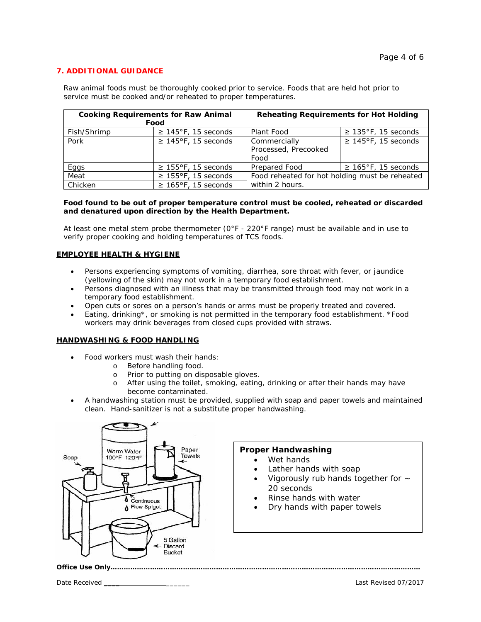# **7. ADDITIONAL GUIDANCE**

Raw animal foods must be thoroughly cooked prior to service. Foods that are held hot prior to service must be cooked and/or reheated to proper temperatures.

| <b>Cooking Requirements for Raw Animal</b> |                           | <b>Reheating Requirements for Hot Holding</b>  |                           |  |
|--------------------------------------------|---------------------------|------------------------------------------------|---------------------------|--|
|                                            | Food                      |                                                |                           |  |
| Fish/Shrimp                                | $\geq$ 145°F, 15 seconds  | Plant Food                                     | $\geq$ 135°F, 15 seconds  |  |
| Pork                                       | $\geq$ 145°F, 15 seconds  | Commercially                                   | $\geq$ 145°F, 15 seconds  |  |
|                                            |                           | Processed, Precooked                           |                           |  |
|                                            |                           | Food                                           |                           |  |
| Eggs                                       | $\geq$ 155°F, 15 seconds  | Prepared Food                                  | $\geq 165$ °F, 15 seconds |  |
| Meat                                       | $\geq$ 155°F, 15 seconds  | Food reheated for hot holding must be reheated |                           |  |
| Chicken                                    | $\geq 165$ °F, 15 seconds | within 2 hours.                                |                           |  |

#### **Food found to be out of proper temperature control must be cooled, reheated or discarded and denatured upon direction by the Health Department.**

At least one metal stem probe thermometer ( $0^{\circ}F - 220^{\circ}F$  range) must be available and in use to verify proper cooking and holding temperatures of TCS foods.

### **EMPLOYEE HEALTH & HYGIENE**

- Persons experiencing symptoms of vomiting, diarrhea, sore throat with fever, or jaundice (yellowing of the skin) may not work in a temporary food establishment.
- Persons diagnosed with an illness that may be transmitted through food may not work in a temporary food establishment.
- Open cuts or sores on a person's hands or arms must be properly treated and covered.
- Eating, drinking\*, or smoking is not permitted in the temporary food establishment. \*Food workers may drink beverages from closed cups provided with straws.

# **HANDWASHING & FOOD HANDLING**

- Food workers must wash their hands:
	- o Before handling food.<br>
	o Prior to putting on dis
	- Prior to putting on disposable gloves.
	- o After using the toilet, smoking, eating, drinking or after their hands may have become contaminated.
- A handwashing station must be provided, supplied with soap and paper towels and maintained clean.Hand-sanitizer is not a substitute proper handwashing.



#### **Proper Handwashing**

- Wet hands
- Lather hands with soap
- Vigorously rub hands together for  $\sim$ 20 seconds
- Rinse hands with water
- Dry hands with paper towels

*Office Use Only……………………………………………………………………………………………………………………………*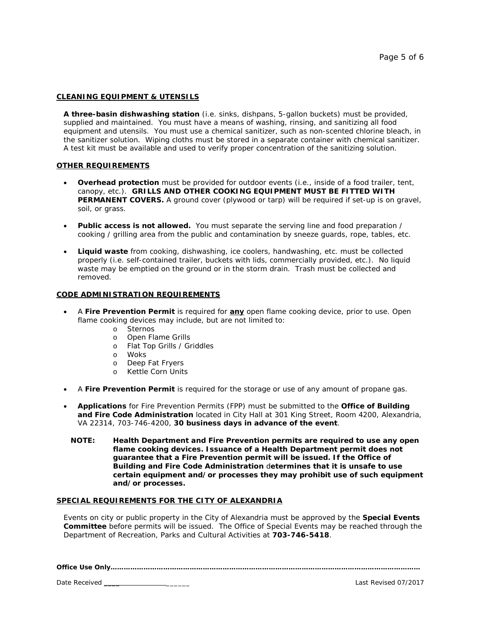#### **CLEANING EQUIPMENT & UTENSILS**

**A three-basin dishwashing station** (i.e. sinks, dishpans, 5-gallon buckets) must be provided, supplied and maintained. You must have a means of washing, rinsing, and sanitizing all food equipment and utensils. You must use a chemical sanitizer, such as non-scented chlorine bleach, in the sanitizer solution. Wiping cloths must be stored in a separate container with chemical sanitizer. A test kit must be available and used to verify proper concentration of the sanitizing solution.

#### **OTHER REQUIREMENTS**

- **Overhead protection** must be provided for outdoor events (i.e., inside of a food trailer, tent, canopy, etc.). **GRILLS AND OTHER COOKING EQUIPMENT MUST BE FITTED WITH PERMANENT COVERS.** A ground cover (plywood or tarp) will be required if set-up is on gravel, soil, or grass.
- **Public access is not allowed.** You must separate the serving line and food preparation / cooking / grilling area from the public and contamination by sneeze guards, rope, tables, etc.
- **Liquid waste** from cooking, dishwashing, ice coolers, handwashing, etc. must be collected properly (i.e. self-contained trailer, buckets with lids, commercially provided, etc.). No liquid waste may be emptied on the ground or in the storm drain. Trash must be collected and removed.

#### **CODE ADMINISTRATION REQUIREMENTS**

- A **Fire Prevention Permit** is required for **any** open flame cooking device, prior to use. Open flame cooking devices may include, but are not limited to:
	- o Sternos
	- o Open Flame Grills
	- o Flat Top Grills / Griddles
	- o Woks
	-
	- o Deep Fat Fryers<br>o Kettle Corn Units Kettle Corn Units
- A **Fire Prevention Permit** is required for the storage or use of any amount of propane gas.
- **Applications** for Fire Prevention Permits (FPP) must be submitted to the **Office of Building and Fire Code Administration** located in City Hall at 301 King Street, Room 4200, Alexandria, VA 22314, 703-746-4200, **30 business days in advance of the event**.
	- **NOTE: Health Department** *and* **Fire Prevention permits are required to use** *any* **open flame cooking devices. Issuance of a Health Department permit does not guarantee that a Fire Prevention permit will be issued. If the Office of Building and Fire Code Administration** d**etermines that it is unsafe to use certain equipment and/or processes they may prohibit use of such equipment and/or processes.**

#### **SPECIAL REQUIREMENTS FOR THE CITY OF ALEXANDRIA**

Events on city or public property in the City of Alexandria must be approved by the **Special Events Committee** before permits will be issued. The Office of Special Events may be reached through the Department of Recreation, Parks and Cultural Activities at **703-746-5418**.

*Office Use Only……………………………………………………………………………………………………………………………*

Date Received \_\_\_\_ \_\_\_\_\_\_ Last Revised 07/2017